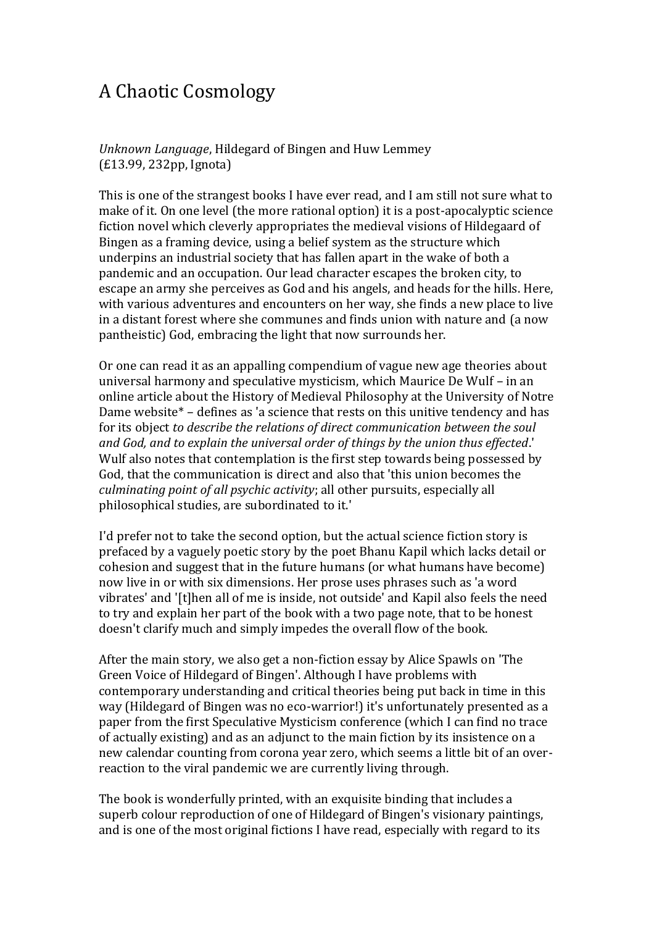## A Chaotic Cosmology

*Unknown Language*, Hildegard of Bingen and Huw Lemmey (£13.99, 232pp, Ignota)

This is one of the strangest books I have ever read, and I am still not sure what to make of it. On one level (the more rational option) it is a post-apocalyptic science fiction novel which cleverly appropriates the medieval visions of Hildegaard of Bingen as a framing device, using a belief system as the structure which underpins an industrial society that has fallen apart in the wake of both a pandemic and an occupation. Our lead character escapes the broken city, to escape an army she perceives as God and his angels, and heads for the hills. Here, with various adventures and encounters on her way, she finds a new place to live in a distant forest where she communes and finds union with nature and (a now pantheistic) God, embracing the light that now surrounds her.

Or one can read it as an appalling compendium of vague new age theories about universal harmony and speculative mysticism, which Maurice De Wulf – in an online article about the History of Medieval Philosophy at the University of Notre Dame website\* – defines as 'a science that rests on this unitive tendency and has for its object *to describe the relations of direct communication between the soul and God, and to explain the universal order of things by the union thus effected*.' Wulf also notes that contemplation is the first step towards being possessed by God, that the communication is direct and also that 'this union becomes the *culminating point of all psychic activity*; all other pursuits, especially all philosophical studies, are subordinated to it.'

I'd prefer not to take the second option, but the actual science fiction story is prefaced by a vaguely poetic story by the poet Bhanu Kapil which lacks detail or cohesion and suggest that in the future humans (or what humans have become) now live in or with six dimensions. Her prose uses phrases such as 'a word vibrates' and '[t]hen all of me is inside, not outside' and Kapil also feels the need to try and explain her part of the book with a two page note, that to be honest doesn't clarify much and simply impedes the overall flow of the book.

After the main story, we also get a non-fiction essay by Alice Spawls on 'The Green Voice of Hildegard of Bingen'. Although I have problems with contemporary understanding and critical theories being put back in time in this way (Hildegard of Bingen was no eco-warrior!) it's unfortunately presented as a paper from the first Speculative Mysticism conference (which I can find no trace of actually existing) and as an adjunct to the main fiction by its insistence on a new calendar counting from corona year zero, which seems a little bit of an overreaction to the viral pandemic we are currently living through.

The book is wonderfully printed, with an exquisite binding that includes a superb colour reproduction of one of Hildegard of Bingen's visionary paintings, and is one of the most original fictions I have read, especially with regard to its